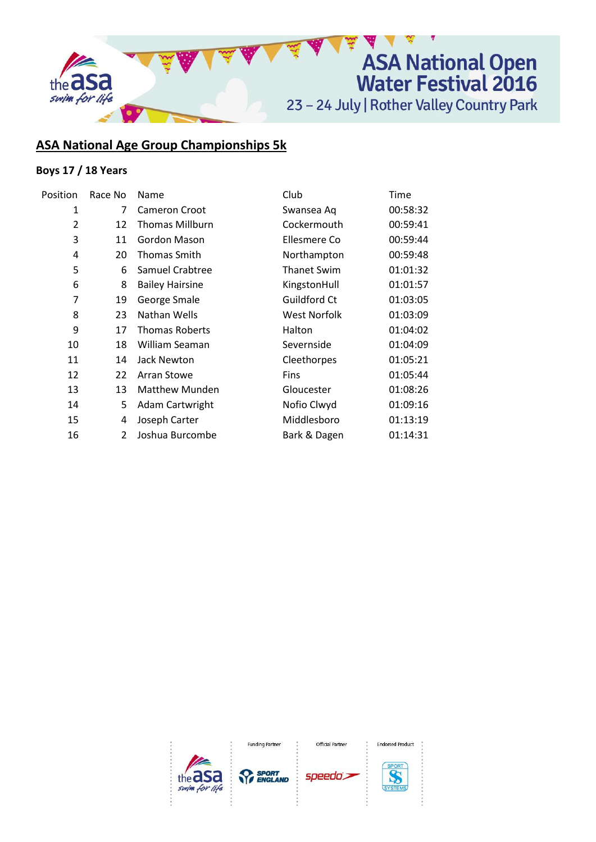

# **ASA National Age Group Championships 5k**

## **Boys 17 / 18 Years**

| Position       | Race No | Name                   | Club               | Time     |
|----------------|---------|------------------------|--------------------|----------|
| 1              | 7       | <b>Cameron Croot</b>   | Swansea Aq         | 00:58:32 |
| $\overline{2}$ | 12      | <b>Thomas Millburn</b> | Cockermouth        | 00:59:41 |
| 3              | 11      | Gordon Mason           | Ellesmere Co       | 00:59:44 |
| 4              | 20      | Thomas Smith           | Northampton        | 00:59:48 |
| 5              | 6       | Samuel Crabtree        | <b>Thanet Swim</b> | 01:01:32 |
| 6              | 8       | <b>Bailey Hairsine</b> | KingstonHull       | 01:01:57 |
| 7              | 19      | George Smale           | Guildford Ct       | 01:03:05 |
| 8              | 23      | Nathan Wells           | West Norfolk       | 01:03:09 |
| 9              | 17      | <b>Thomas Roberts</b>  | Halton             | 01:04:02 |
| 10             | 18      | William Seaman         | Severnside         | 01:04:09 |
| 11             | 14      | Jack Newton            | Cleethorpes        | 01:05:21 |
| 12             | 22      | Arran Stowe            | <b>Fins</b>        | 01:05:44 |
| 13             | 13      | <b>Matthew Munden</b>  | Gloucester         | 01:08:26 |
| 14             | 5       | Adam Cartwright        | Nofio Clwyd        | 01:09:16 |
| 15             | 4       | Joseph Carter          | Middlesboro        | 01:13:19 |
| 16             | 2       | Joshua Burcombe        | Bark & Dagen       | 01:14:31 |
|                |         |                        |                    |          |



**Funding Partner** 

**SPORT**<br>*<u>PrenGLAND</u>* 

Official Partner

speedo's



**Endorsed Product**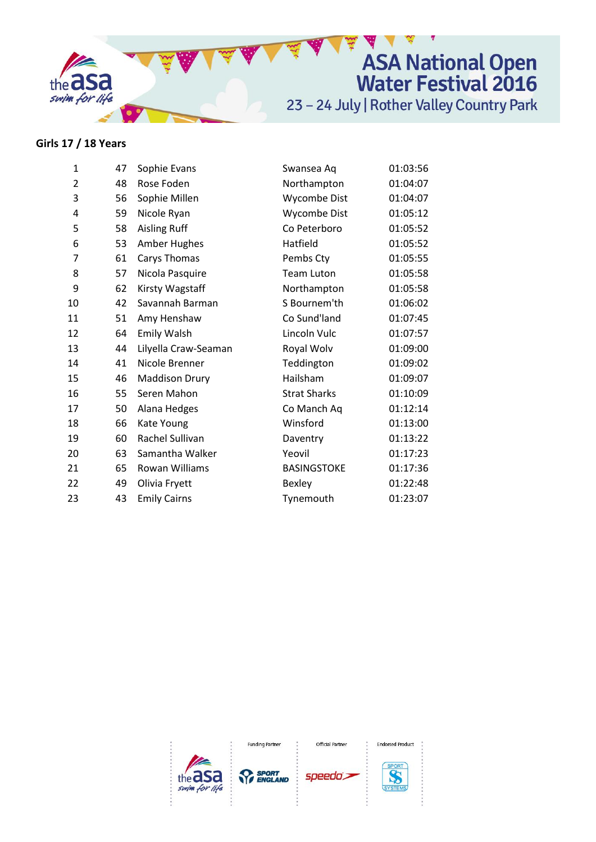

### Girls 17 / 18 Years

| $\mathbf{1}$   | 47 | Sophie Evans          | Swansea Aq          | 01:03:56 |
|----------------|----|-----------------------|---------------------|----------|
| $\overline{2}$ | 48 | Rose Foden            | Northampton         | 01:04:07 |
| 3              | 56 | Sophie Millen         | Wycombe Dist        | 01:04:07 |
| 4              | 59 | Nicole Ryan           | Wycombe Dist        | 01:05:12 |
| 5              | 58 | <b>Aisling Ruff</b>   | Co Peterboro        | 01:05:52 |
| 6              | 53 | Amber Hughes          | Hatfield            | 01:05:52 |
| $\overline{7}$ | 61 | Carys Thomas          | Pembs Cty           | 01:05:55 |
| 8              | 57 | Nicola Pasquire       | Team Luton          | 01:05:58 |
| 9              | 62 | Kirsty Wagstaff       | Northampton         | 01:05:58 |
| 10             | 42 | Savannah Barman       | S Bournem'th        | 01:06:02 |
| 11             | 51 | Amy Henshaw           | Co Sund'land        | 01:07:45 |
| 12             | 64 | <b>Emily Walsh</b>    | Lincoln Vulc        | 01:07:57 |
| 13             | 44 | Lilyella Craw-Seaman  | Royal Wolv          | 01:09:00 |
| 14             | 41 | Nicole Brenner        | Teddington          | 01:09:02 |
| 15             | 46 | <b>Maddison Drury</b> | Hailsham            | 01:09:07 |
| 16             | 55 | Seren Mahon           | <b>Strat Sharks</b> | 01:10:09 |
| 17             | 50 | Alana Hedges          | Co Manch Aq         | 01:12:14 |
| 18             | 66 | Kate Young            | Winsford            | 01:13:00 |
| 19             | 60 | Rachel Sullivan       | Daventry            | 01:13:22 |
| 20             | 63 | Samantha Walker       | Yeovil              | 01:17:23 |
| 21             | 65 | <b>Rowan Williams</b> | <b>BASINGSTOKE</b>  | 01:17:36 |
| 22             | 49 | Olivia Fryett         | Bexley              | 01:22:48 |
| 23             | 43 | <b>Emily Cairns</b>   | Tynemouth           | 01:23:07 |
|                |    |                       |                     |          |



**Funding Partner** 

**SPORT** 

Official Partner

speedo's



**Endorsed Product**